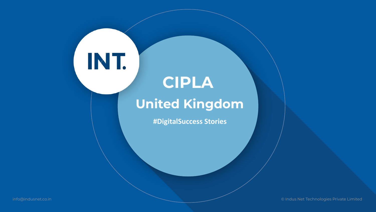# **CIPLA United Kingdom**

INT.

**#DigitalSuccess Stories** 

info@indusnet.co.in © Indus Net Technologies Private Limited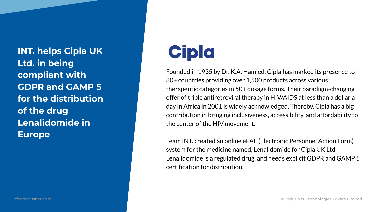**INT. helps Cipla UK Ltd. in being compliant with GDPR and GAMP 5 for the distribution of the drug Lenalidomide in Europe**

# **Cipla**

Founded in 1935 by Dr. K.A. Hamied, Cipla has marked its presence to 80+ countries providing over 1,500 products across various therapeutic categories in 50+ dosage forms. Their paradigm-changing offer of triple antiretroviral therapy in HIV/AIDS at less than a dollar a day in Africa in 2001 is widely acknowledged. Thereby, Cipla has a big contribution in bringing inclusiveness, accessibility, and affordability to the center of the HIV movement.

Team INT. created an online ePAF (Electronic Personnel Action Form) system for the medicine named, Lenalidomide for Cipla UK Ltd. Lenalidomide is a regulated drug, and needs explicit GDPR and GAMP 5 certification for distribution.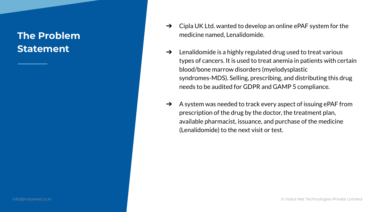## **The Problem Statement**

- $\rightarrow$  Cipla UK Ltd. wanted to develop an online ePAF system for the medicine named, Lenalidomide.
- $\rightarrow$  Lenalidomide is a highly regulated drug used to treat various types of cancers. It is used to treat anemia in patients with certain blood/bone marrow disorders (myelodysplastic syndromes-MDS). Selling, prescribing, and distributing this drug needs to be audited for GDPR and GAMP 5 compliance.
- $\rightarrow$  A system was needed to track every aspect of issuing ePAF from prescription of the drug by the doctor, the treatment plan, available pharmacist, issuance, and purchase of the medicine (Lenalidomide) to the next visit or test.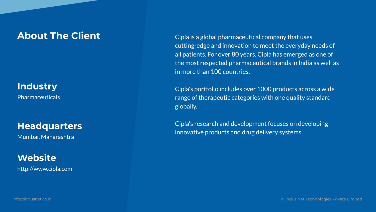### **About The Client**

**Industry**

Pharmaceuticals

#### **Headquarters**

Mumbai, Maharashtra

**Website** http://www.cipla.com Cipla is a global pharmaceutical company that uses cutting-edge and innovation to meet the everyday needs of all patients. For over 80 years, Cipla has emerged as one of the most respected pharmaceutical brands in India as well as in more than 100 countries.

Cipla's portfolio includes over 1000 products across a wide range of therapeutic categories with one quality standard globally.

Cipla's research and development focuses on developing innovative products and drug delivery systems.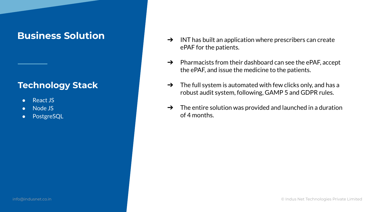### **Business Solution**

#### **Technology Stack**

- React JS
- Node JS
- PostgreSQL
- $\rightarrow$  INT has built an application where prescribers can create ePAF for the patients.
- $\rightarrow$  Pharmacists from their dashboard can see the ePAF, accept the ePAF, and issue the medicine to the patients.
- $\rightarrow$  The full system is automated with few clicks only, and has a robust audit system, following, GAMP 5 and GDPR rules.
- $\rightarrow$  The entire solution was provided and launched in a duration of 4 months.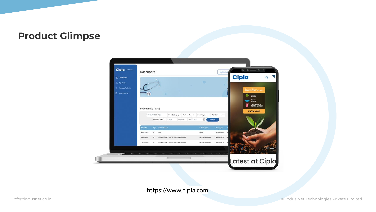#### **Product Glimpse**



https://www.cipla.com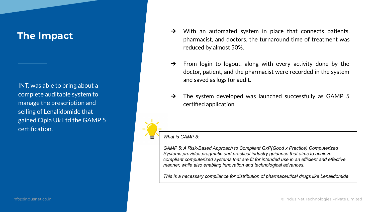INT. was able to bring about a complete auditable system to manage the prescription and selling of Lenalidomide that gained Cipla Uk Ltd the GAMP 5 certification.

- The Impact and the system in place that connects patients, pharmacist, and doctors, the turnaround time of treatment was reduced by almost 50%.
	- $\rightarrow$  From login to logout, along with every activity done by the doctor, patient, and the pharmacist were recorded in the system and saved as logs for audit.
	- $\rightarrow$  The system developed was launched successfully as GAMP 5 certified application.

*What is GAMP 5:* 

*GAMP 5: A Risk-Based Approach to Compliant GxP(Good x Practice) Computerized Systems provides pragmatic and practical industry guidance that aims to achieve compliant computerized systems that are fit for intended use in an efficient and effective manner, while also enabling innovation and technological advances.* 

*This is a necessary compliance for distribution of pharmaceutical drugs like Lenalidomide*